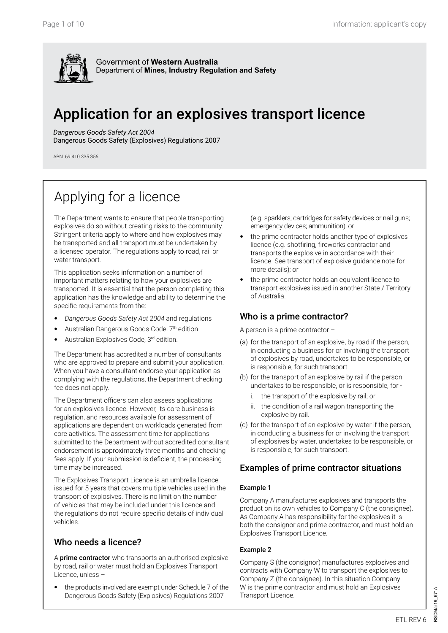

# Application for an explosives transport licence

*Dangerous Goods Safety Act 2004* Dangerous Goods Safety (Explosives) Regulations 2007

ABN: 69 410 335 356

# Applying for a licence

The Department wants to ensure that people transporting explosives do so without creating risks to the community. Stringent criteria apply to where and how explosives may be transported and all transport must be undertaken by a licensed operator. The regulations apply to road, rail or water transport.

This application seeks information on a number of important matters relating to how your explosives are transported. It is essential that the person completing this application has the knowledge and ability to determine the specific requirements from the:

- *Dangerous Goods Safety Act 2004* and regulations
- Australian Dangerous Goods Code, 7<sup>th</sup> edition
- Australian Explosives Code, 3rd edition.

The Department has accredited a number of consultants who are approved to prepare and submit your application. When you have a consultant endorse your application as complying with the regulations, the Department checking fee does not apply.

The Department officers can also assess applications for an explosives licence. However, its core business is regulation, and resources available for assessment of applications are dependent on workloads generated from core activities. The assessment time for applications submitted to the Department without accredited consultant endorsement is approximately three months and checking fees apply. If your submission is deficient, the processing time may be increased.

The Explosives Transport Licence is an umbrella licence issued for 5 years that covers multiple vehicles used in the transport of explosives. There is no limit on the number of vehicles that may be included under this licence and the regulations do not require specific details of individual vehicles.

### Who needs a licence?

A prime contractor who transports an authorised explosive by road, rail or water must hold an Explosives Transport Licence, unless –

• the products involved are exempt under Schedule 7 of the Dangerous Goods Safety (Explosives) Regulations 2007

(e.g. sparklers; cartridges for safety devices or nail guns; emergency devices; ammunition); or

- the prime contractor holds another type of explosives licence (e.g. shotfiring, fireworks contractor and transports the explosive in accordance with their licence. See transport of explosive guidance note for more details); or
- the prime contractor holds an equivalent licence to transport explosives issued in another State / Territory of Australia.

## Who is a prime contractor?

#### A person is a prime contractor –

- (a) for the transport of an explosive, by road if the person, in conducting a business for or involving the transport of explosives by road, undertakes to be responsible, or is responsible, for such transport.
- (b) for the transport of an explosive by rail if the person undertakes to be responsible, or is responsible, for
	- i. the transport of the explosive by rail; or
	- ii. the condition of a rail wagon transporting the explosive by rail.
- (c) for the transport of an explosive by water if the person, in conducting a business for or involving the transport of explosives by water, undertakes to be responsible, or is responsible, for such transport.

## Examples of prime contractor situations

#### Example 1

Company A manufactures explosives and transports the product on its own vehicles to Company C (the consignee). As Company A has responsibility for the explosives it is both the consignor and prime contractor, and must hold an Explosives Transport Licence.

#### Example 2

Company S (the consignor) manufactures explosives and contracts with Company W to transport the explosives to Company Z (the consignee). In this situation Company W is the prime contractor and must hold an Explosives Transport Licence.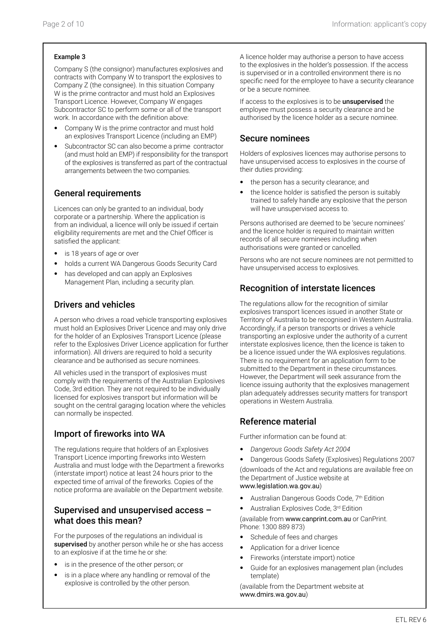#### Example 3

Company S (the consignor) manufactures explosives and contracts with Company W to transport the explosives to Company Z (the consignee). In this situation Company W is the prime contractor and must hold an Explosives Transport Licence. However, Company W engages Subcontractor SC to perform some or all of the transport work. In accordance with the definition above:

- Company W is the prime contractor and must hold an explosives Transport Licence (including an EMP)
- Subcontractor SC can also become a prime contractor (and must hold an EMP) if responsibility for the transport of the explosives is transferred as part of the contractual arrangements between the two companies.

# General requirements

Licences can only be granted to an individual, body corporate or a partnership. Where the application is from an individual, a licence will only be issued if certain eligibility requirements are met and the Chief Officer is satisfied the applicant:

- is 18 years of age or over
- holds a current WA Dangerous Goods Security Card
- has developed and can apply an Explosives Management Plan, including a security plan.

## Drivers and vehicles

A person who drives a road vehicle transporting explosives must hold an Explosives Driver Licence and may only drive for the holder of an Explosives Transport Licence (please refer to the Explosives Driver Licence application for further information). All drivers are required to hold a security clearance and be authorised as secure nominees.

All vehicles used in the transport of explosives must comply with the requirements of the Australian Explosives Code, 3rd edition. They are not required to be individually licensed for explosives transport but information will be sought on the central garaging location where the vehicles can normally be inspected.

## Import of fireworks into WA

The regulations require that holders of an Explosives Transport Licence importing fireworks into Western Australia and must lodge with the Department a fireworks (interstate import) notice at least 24 hours prior to the expected time of arrival of the fireworks. Copies of the notice proforma are available on the Department website.

### Supervised and unsupervised access – what does this mean?

For the purposes of the regulations an individual is supervised by another person while he or she has access to an explosive if at the time he or she:

- is in the presence of the other person; or
- is in a place where any handling or removal of the explosive is controlled by the other person.

A licence holder may authorise a person to have access to the explosives in the holder's possession. If the access is supervised or in a controlled environment there is no specific need for the employee to have a security clearance or be a secure nominee.

If access to the explosives is to be **unsupervised** the employee must possess a security clearance and be authorised by the licence holder as a secure nominee.

### Secure nominees

Holders of explosives licences may authorise persons to have unsupervised access to explosives in the course of their duties providing:

- the person has a security clearance; and
- the licence holder is satisfied the person is suitably trained to safely handle any explosive that the person will have unsupervised access to.

Persons authorised are deemed to be 'secure nominees' and the licence holder is required to maintain written records of all secure nominees including when authorisations were granted or cancelled.

Persons who are not secure nominees are not permitted to have unsupervised access to explosives.

# Recognition of interstate licences

The regulations allow for the recognition of similar explosives transport licences issued in another State or Territory of Australia to be recognised in Western Australia. Accordingly, if a person transports or drives a vehicle transporting an explosive under the authority of a current interstate explosives licence, then the licence is taken to be a licence issued under the WA explosives regulations. There is no requirement for an application form to be submitted to the Department in these circumstances. However, the Department will seek assurance from the licence issuing authority that the explosives management plan adequately addresses security matters for transport operations in Western Australia.

# Reference material

Further information can be found at:

- *Dangerous Goods Safety Act 2004*
- Dangerous Goods Safety (Explosives) Regulations 2007

(downloads of the Act and regulations are available free on the Department of Justice website at www.legislation.wa.gov.au)

- Australian Dangerous Goods Code, 7<sup>th</sup> Edition
- Australian Explosives Code, 3rd Edition

(available from www.canprint.com.au or CanPrint. Phone: 1300 889 873)

- Schedule of fees and charges
- Application for a driver licence
- Fireworks (interstate import) notice
- Guide for an explosives management plan (includes template)

(available from the Department website at www.dmirs.wa.gov.au)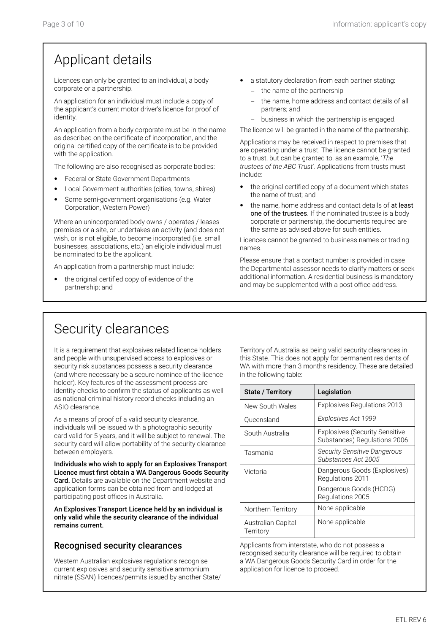# Applicant details

Licences can only be granted to an individual, a body corporate or a partnership.

An application for an individual must include a copy of the applicant's current motor driver's licence for proof of identity.

An application from a body corporate must be in the name as described on the certificate of incorporation, and the original certified copy of the certificate is to be provided with the application.

The following are also recognised as corporate bodies:

- Federal or State Government Departments
- Local Government authorities (cities, towns, shires)
- Some semi-government organisations (e.g. Water Corporation, Western Power)

Where an unincorporated body owns / operates / leases premises or a site, or undertakes an activity (and does not wish, or is not eligible, to become incorporated (i.e. small businesses, associations, etc.) an eligible individual must be nominated to be the applicant.

An application from a partnership must include:

the original certified copy of evidence of the partnership; and

- a statutory declaration from each partner stating:
	- − the name of the partnership
	- the name, home address and contact details of all partners; and
	- − business in which the partnership is engaged.

The licence will be granted in the name of the partnership.

Applications may be received in respect to premises that are operating under a trust. The licence cannot be granted to a trust, but can be granted to, as an example, '*The trustees of the ABC Trust*'. Applications from trusts must include:

- the original certified copy of a document which states the name of trust; and
- the name, home address and contact details of at least one of the trustees. If the nominated trustee is a body corporate or partnership, the documents required are the same as advised above for such entities.

Licences cannot be granted to business names or trading names.

Please ensure that a contact number is provided in case the Departmental assessor needs to clarify matters or seek additional information. A residential business is mandatory and may be supplemented with a post office address.

# Security clearances

It is a requirement that explosives related licence holders and people with unsupervised access to explosives or security risk substances possess a security clearance (and where necessary be a secure nominee of the licence holder). Key features of the assessment process are identity checks to confirm the status of applicants as well as national criminal history record checks including an ASIO clearance.

As a means of proof of a valid security clearance, individuals will be issued with a photographic security card valid for 5 years, and it will be subject to renewal. The security card will allow portability of the security clearance between employers.

Individuals who wish to apply for an Explosives Transport Licence must first obtain a WA Dangerous Goods Security Card. Details are available on the Department website and application forms can be obtained from and lodged at participating post offices in Australia.

An Explosives Transport Licence held by an individual is only valid while the security clearance of the individual remains current.

### Recognised security clearances

Western Australian explosives regulations recognise current explosives and security sensitive ammonium nitrate (SSAN) licences/permits issued by another State/ Territory of Australia as being valid security clearances in this State. This does not apply for permanent residents of WA with more than 3 months residency. These are detailed in the following table:

| <b>State / Territory</b>        | Legislation                                                           |
|---------------------------------|-----------------------------------------------------------------------|
| New South Wales                 | <b>Explosives Regulations 2013</b>                                    |
| Oueensland                      | Explosives Act 1999                                                   |
| South Australia                 | <b>Explosives (Security Sensitive</b><br>Substances) Regulations 2006 |
| Tasmania                        | <b>Security Sensitive Dangerous</b><br>Substances Act 2005            |
| Victoria                        | Dangerous Goods (Explosives)<br>Regulations 2011                      |
|                                 | Dangerous Goods (HCDG)<br>Regulations 2005                            |
| Northern Territory              | None applicable                                                       |
| Australian Capital<br>Territory | None applicable                                                       |

Applicants from interstate, who do not possess a recognised security clearance will be required to obtain a WA Dangerous Goods Security Card in order for the application for licence to proceed.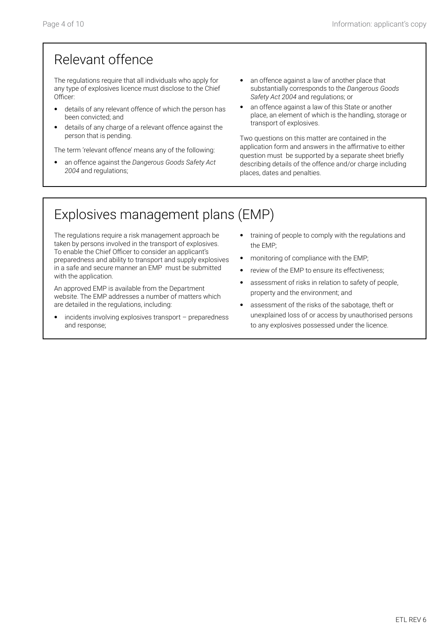# Relevant offence

The regulations require that all individuals who apply for any type of explosives licence must disclose to the Chief Officer:

- details of any relevant offence of which the person has been convicted; and
- details of any charge of a relevant offence against the person that is pending.

The term 'relevant offence' means any of the following:

- an offence against the *Dangerous Goods Safety Act 2004* and regulations;
- an offence against a law of another place that substantially corresponds to the *Dangerous Goods Safety Act 2004* and regulations; or
- an offence against a law of this State or another place, an element of which is the handling, storage or transport of explosives.

Two questions on this matter are contained in the application form and answers in the affirmative to either question must be supported by a separate sheet briefly describing details of the offence and/or charge including places, dates and penalties.

# Explosives management plans (EMP)

The regulations require a risk management approach be taken by persons involved in the transport of explosives. To enable the Chief Officer to consider an applicant's preparedness and ability to transport and supply explosives in a safe and secure manner an EMP must be submitted with the application.

An approved EMP is available from the Department website. The EMP addresses a number of matters which are detailed in the regulations, including:

 $incidents$  involving explosives transport  $-$  preparedness and response;

- training of people to comply with the regulations and the EMP;
- monitoring of compliance with the EMP;
- review of the EMP to ensure its effectiveness;
- assessment of risks in relation to safety of people, property and the environment; and
- assessment of the risks of the sabotage, theft or unexplained loss of or access by unauthorised persons to any explosives possessed under the licence.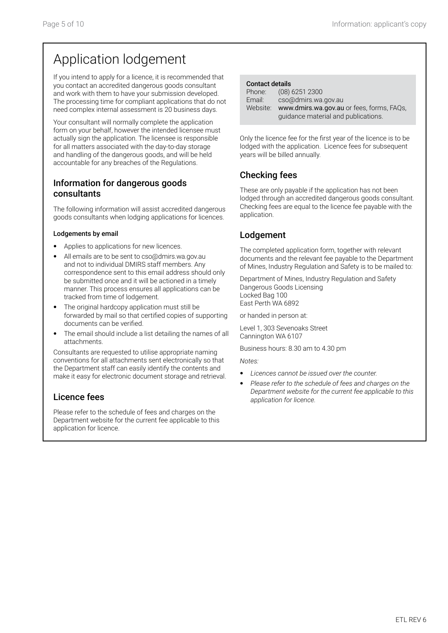# Application lodgement

If you intend to apply for a licence, it is recommended that you contact an accredited dangerous goods consultant and work with them to have your submission developed. The processing time for compliant applications that do not need complex internal assessment is 20 business days.

Your consultant will normally complete the application form on your behalf, however the intended licensee must actually sign the application. The licensee is responsible for all matters associated with the day-to-day storage and handling of the dangerous goods, and will be held accountable for any breaches of the Regulations.

### Information for dangerous goods consultants

The following information will assist accredited dangerous goods consultants when lodging applications for licences.

#### Lodgements by email

- Applies to applications for new licences.
- All emails are to be sent to cso@dmirs.wa.gov.au and not to individual DMIRS staff members. Any correspondence sent to this email address should only be submitted once and it will be actioned in a timely manner. This process ensures all applications can be tracked from time of lodgement.
- The original hardcopy application must still be forwarded by mail so that certified copies of supporting documents can be verified.
- The email should include a list detailing the names of all attachments.

Consultants are requested to utilise appropriate naming conventions for all attachments sent electronically so that the Department staff can easily identify the contents and make it easy for electronic document storage and retrieval.

# Licence fees

Please refer to the schedule of fees and charges on the Department website for the current fee applicable to this application for licence.

| <b>Contact details</b> |                                                    |
|------------------------|----------------------------------------------------|
| Phone:                 | $(08)$ 6251 2300                                   |
| Email:                 | cso@dmirs.wa.gov.au                                |
|                        | Website: www.dmirs.wa.gov.au or fees, forms, FAQs, |
|                        | quidance material and publications.                |

Only the licence fee for the first year of the licence is to be lodged with the application. Licence fees for subsequent years will be billed annually.

# Checking fees

These are only payable if the application has not been lodged through an accredited dangerous goods consultant. Checking fees are equal to the licence fee payable with the application.

# Lodgement

The completed application form, together with relevant documents and the relevant fee payable to the Department of Mines, Industry Regulation and Safety is to be mailed to:

Department of Mines, Industry Regulation and Safety Dangerous Goods Licensing Locked Bag 100 East Perth WA 6892

or handed in person at:

Level 1, 303 Sevenoaks Street Cannington WA 6107

Business hours: 8.30 am to 4.30 pm

*Notes:*

- *Licences cannot be issued over the counter.*
- *Please refer to the schedule of fees and charges on the Department website for the current fee applicable to this application for licence.*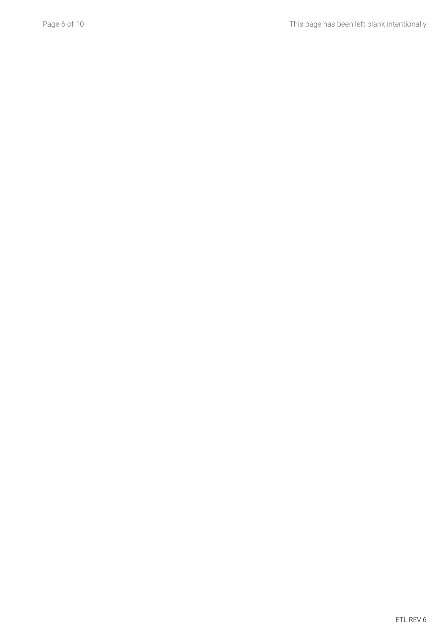Page 6 of 10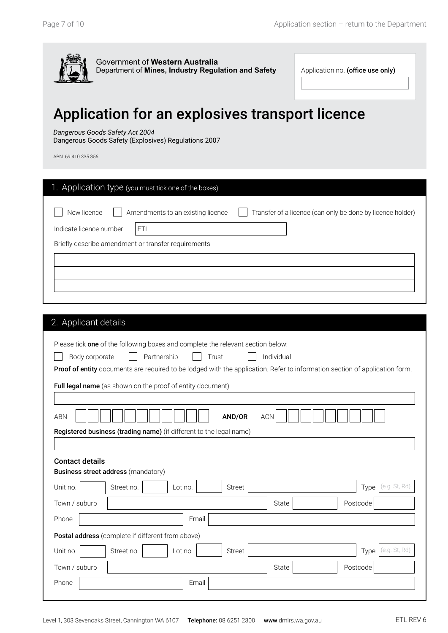

Application no. (office use only)

ETL

# Application for an explosives transport licence

### *Dangerous Goods Safety Act 2004*

Dangerous Goods Safety (Explosives) Regulations 2007

ABN: 69 410 335 356

| 1. Application type (you must tick one of the boxes)                                                                                      |                                                            |  |
|-------------------------------------------------------------------------------------------------------------------------------------------|------------------------------------------------------------|--|
| New licence<br>Amendments to an existing licence<br>ETL<br>Indicate licence number<br>Briefly describe amendment or transfer requirements | Transfer of a licence (can only be done by licence holder) |  |
|                                                                                                                                           |                                                            |  |
|                                                                                                                                           |                                                            |  |

| 2. Applicant details   |                                                                                                                                         |  |  |
|------------------------|-----------------------------------------------------------------------------------------------------------------------------------------|--|--|
|                        | Please tick one of the following boxes and complete the relevant section below:<br>Trust<br>Individual<br>Body corporate<br>Partnership |  |  |
|                        | Proof of entity documents are required to be lodged with the application. Refer to information section of application form.             |  |  |
|                        | Full legal name (as shown on the proof of entity document)                                                                              |  |  |
|                        |                                                                                                                                         |  |  |
| <b>ABN</b>             | AND/OR<br><b>ACN</b>                                                                                                                    |  |  |
|                        | Registered business (trading name) (if different to the legal name)                                                                     |  |  |
|                        |                                                                                                                                         |  |  |
| <b>Contact details</b> |                                                                                                                                         |  |  |
|                        | <b>Business street address (mandatory)</b>                                                                                              |  |  |
| Unit no.               | (e.g. St, Rd<br>Street no.<br><b>Street</b><br>Type<br>Lot no.                                                                          |  |  |
| Town / suburb          | Postcode<br>State                                                                                                                       |  |  |
| Phone                  | Email                                                                                                                                   |  |  |
|                        | Postal address (complete if different from above)                                                                                       |  |  |
| Unit no.               | (e.g. St, Rd<br><b>Street</b><br>Street no.<br>Lot no.<br>Type                                                                          |  |  |
| Town / suburb          | Postcode<br>State                                                                                                                       |  |  |
| Phone                  | Email                                                                                                                                   |  |  |
|                        |                                                                                                                                         |  |  |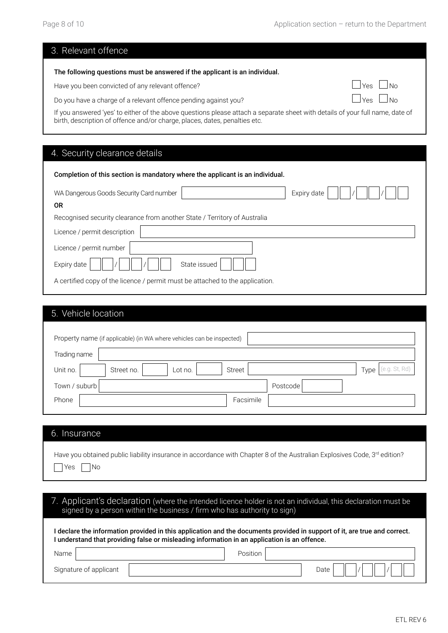# 3. Relevant offence

### The following questions must be answered if the applicant is an individual.

Have you been convicted of any relevant offence?<br>  $\Box$  Yes  $\Box$  No

Do you have a charge of a relevant offence pending against you?

If you answered 'yes' to either of the above questions please attach a separate sheet with details of your full name, date of birth, description of offence and/or charge, places, dates, penalties etc.

## 4. Security clearance details

| Completion of this section is mandatory where the applicant is an individual. |  |
|-------------------------------------------------------------------------------|--|
| WA Dangerous Goods Security Card number<br>Expiry date                        |  |
| 0R                                                                            |  |
| Recognised security clearance from another State / Territory of Australia     |  |
| Licence / permit description                                                  |  |
| Licence / permit number                                                       |  |
| State issued<br>Expiry date                                                   |  |
| A certified copy of the licence / permit must be attached to the application. |  |

| 5. Vehicle location                                                                                                                                                                                                       |
|---------------------------------------------------------------------------------------------------------------------------------------------------------------------------------------------------------------------------|
| Property name (if applicable) (in WA where vehicles can be inspected)                                                                                                                                                     |
| Trading name                                                                                                                                                                                                              |
| (e.g. St, Rd)<br>Unit no.<br><b>Street</b><br>Street no.<br>Lot no.<br>Type                                                                                                                                               |
| Town / suburb<br>Postcode                                                                                                                                                                                                 |
| Phone<br>Facsimile                                                                                                                                                                                                        |
|                                                                                                                                                                                                                           |
| 6. Insurance                                                                                                                                                                                                              |
| Have you obtained public liability insurance in accordance with Chapter 8 of the Australian Explosives Code, 3 <sup>rd</sup> edition?<br>No<br>Yes                                                                        |
|                                                                                                                                                                                                                           |
| 7. Applicant's declaration (where the intended licence holder is not an individual, this declaration must be<br>signed by a person within the business / firm who has authority to sign)                                  |
| I declare the information provided in this application and the documents provided in support of it, are true and correct.<br>I understand that providing false or misleading information in an application is an offence. |
| Position<br>Name                                                                                                                                                                                                          |

Signature of applicant Date / /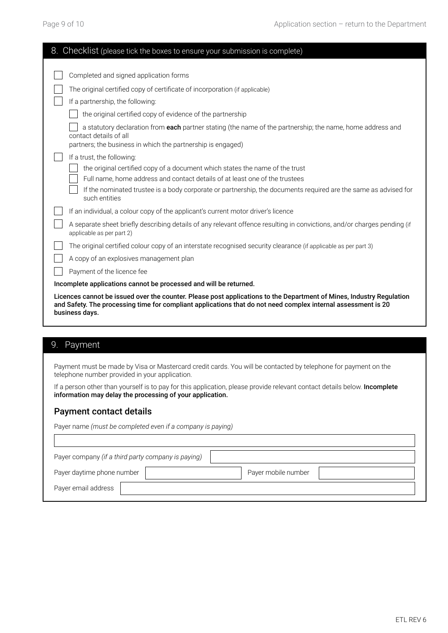| 8. Checklist (please tick the boxes to ensure your submission is complete)                                                                                                                                                                              |
|---------------------------------------------------------------------------------------------------------------------------------------------------------------------------------------------------------------------------------------------------------|
| Completed and signed application forms                                                                                                                                                                                                                  |
| The original certified copy of certificate of incorporation (if applicable)                                                                                                                                                                             |
| If a partnership, the following:                                                                                                                                                                                                                        |
| the original certified copy of evidence of the partnership                                                                                                                                                                                              |
| a statutory declaration from each partner stating (the name of the partnership; the name, home address and<br>contact details of all<br>partners; the business in which the partnership is engaged)                                                     |
| If a trust, the following:                                                                                                                                                                                                                              |
| the original certified copy of a document which states the name of the trust                                                                                                                                                                            |
| Full name, home address and contact details of at least one of the trustees<br>If the nominated trustee is a body corporate or partnership, the documents required are the same as advised for<br>such entities                                         |
| If an individual, a colour copy of the applicant's current motor driver's licence                                                                                                                                                                       |
| A separate sheet briefly describing details of any relevant offence resulting in convictions, and/or charges pending (if<br>applicable as per part 2)                                                                                                   |
| The original certified colour copy of an interstate recognised security clearance (if applicable as per part 3)                                                                                                                                         |
| A copy of an explosives management plan                                                                                                                                                                                                                 |
| Payment of the licence fee                                                                                                                                                                                                                              |
| Incomplete applications cannot be processed and will be returned.                                                                                                                                                                                       |
| Licences cannot be issued over the counter. Please post applications to the Department of Mines, Industry Regulation<br>and Safety. The processing time for compliant applications that do not need complex internal assessment is 20<br>business days. |
|                                                                                                                                                                                                                                                         |

# 9. Payment

Payment must be made by Visa or Mastercard credit cards. You will be contacted by telephone for payment on the telephone number provided in your application.

If a person other than yourself is to pay for this application, please provide relevant contact details below. Incomplete information may delay the processing of your application.

#### Payment contact details

Payer name *(must be completed even if a company is paying)*

| Payer company (if a third party company is paying) |                     |  |
|----------------------------------------------------|---------------------|--|
| Payer daytime phone number                         | Payer mobile number |  |
| Payer email address                                |                     |  |